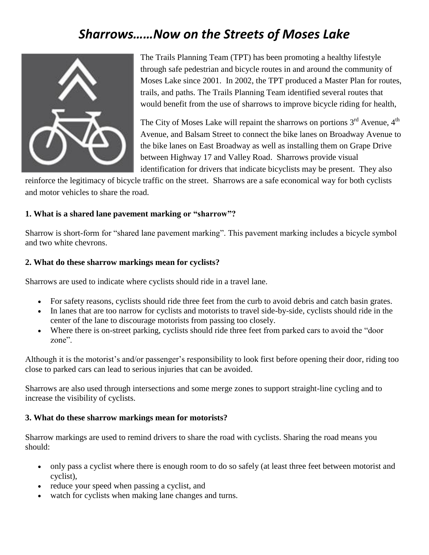# *Sharrows……Now on the Streets of Moses Lake*



The Trails Planning Team (TPT) has been promoting a healthy lifestyle through safe pedestrian and bicycle routes in and around the community of Moses Lake since 2001. In 2002, the TPT produced a Master Plan for routes, trails, and paths. The Trails Planning Team identified several routes that would benefit from the use of sharrows to improve bicycle riding for health,

The City of Moses Lake will repaint the sharrows on portions  $3<sup>rd</sup>$  Avenue,  $4<sup>th</sup>$ Avenue, and Balsam Street to connect the bike lanes on Broadway Avenue to the bike lanes on East Broadway as well as installing them on Grape Drive between Highway 17 and Valley Road. Sharrows provide visual identification for drivers that indicate bicyclists may be present. They also

reinforce the legitimacy of bicycle traffic on the street. Sharrows are a safe economical way for both cyclists and motor vehicles to share the road.

#### **1. What is a shared lane pavement marking or "sharrow"?**

Sharrow is short-form for "shared lane pavement marking". This pavement marking includes a bicycle symbol and two white chevrons.

#### **2. What do these sharrow markings mean for cyclists?**

Sharrows are used to indicate where cyclists should ride in a travel lane.

- For safety reasons, cyclists should ride three feet from the curb to avoid debris and catch basin grates.
- In lanes that are too narrow for cyclists and motorists to travel side-by-side, cyclists should ride in the center of the lane to discourage motorists from passing too closely.
- Where there is on-street parking, cyclists should ride three feet from parked cars to avoid the "door zone".

Although it is the motorist's and/or passenger's responsibility to look first before opening their door, riding too close to parked cars can lead to serious injuries that can be avoided.

Sharrows are also used through intersections and some merge zones to support straight-line cycling and to increase the visibility of cyclists.

#### **3. What do these sharrow markings mean for motorists?**

Sharrow markings are used to remind drivers to share the road with cyclists. Sharing the road means you should:

- only pass a cyclist where there is enough room to do so safely (at least three feet between motorist and cyclist),
- reduce your speed when passing a cyclist, and
- watch for cyclists when making lane changes and turns.